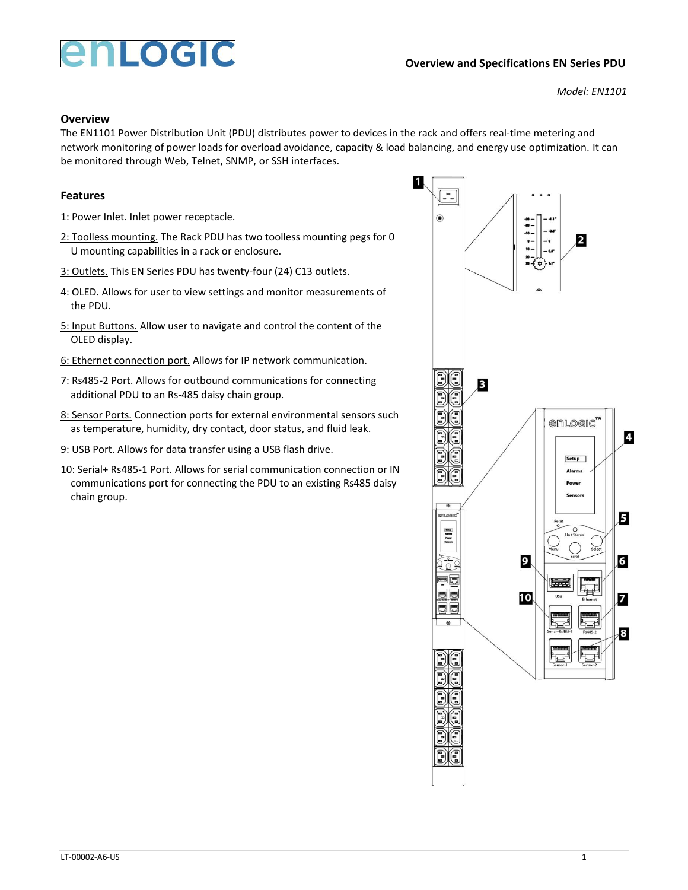## enLogic

*Model: EN1101*

## **Overview**

The EN1101 Power Distribution Unit (PDU) distributes power to devices in the rack and offers real-time metering and network monitoring of power loads for overload avoidance, capacity & load balancing, and energy use optimization. It can be monitored through Web, Telnet, SNMP, or SSH interfaces.

1

## **Features**

- 1: Power Inlet. Inlet power receptacle.
- 2: Toolless mounting. The Rack PDU has two toolless mounting pegs for 0 U mounting capabilities in a rack or enclosure.
- 3: Outlets. This EN Series PDU has twenty-four (24) C13 outlets.
- 4: OLED. Allows for user to view settings and monitor measurements of the PDU.
- 5: Input Buttons. Allow user to navigate and control the content of the OLED display.
- 6: Ethernet connection port. Allows for IP network communication.
- 7: Rs485-2 Port. Allows for outbound communications for connecting additional PDU to an Rs-485 daisy chain group.
- 8: Sensor Ports. Connection ports for external environmental sensors such as temperature, humidity, dry contact, door status, and fluid leak.
- 9: USB Port. Allows for data transfer using a USB flash drive.
- 10: Serial+ Rs485-1 Port. Allows for serial communication connection or IN communications port for connecting the PDU to an existing Rs485 daisy chain group.